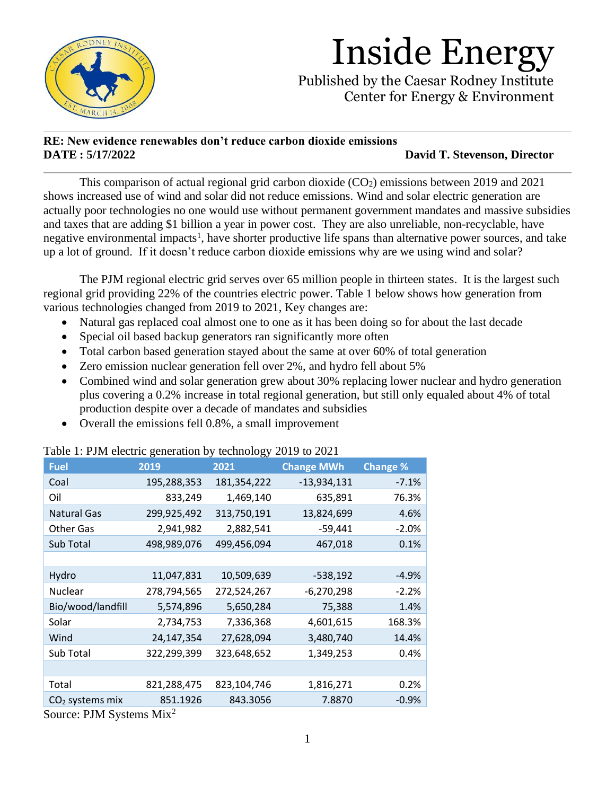

Published by the Caesar Rodney Institute Center for Energy & Environment

### **RE: New evidence renewables don't reduce carbon dioxide emissions DATE : 5/17/2022 David T. Stevenson, Director**

This comparison of actual regional grid carbon dioxide  $(CO<sub>2</sub>)$  emissions between 2019 and 2021 shows increased use of wind and solar did not reduce emissions. Wind and solar electric generation are actually poor technologies no one would use without permanent government mandates and massive subsidies and taxes that are adding \$1 billion a year in power cost. They are also unreliable, non-recyclable, have negative environmental impacts<sup>1</sup>, have shorter productive life spans than alternative power sources, and take up a lot of ground. If it doesn't reduce carbon dioxide emissions why are we using wind and solar?

The PJM regional electric grid serves over 65 million people in thirteen states. It is the largest such regional grid providing 22% of the countries electric power. Table 1 below shows how generation from various technologies changed from 2019 to 2021, Key changes are:

- Natural gas replaced coal almost one to one as it has been doing so for about the last decade
- Special oil based backup generators ran significantly more often
- Total carbon based generation stayed about the same at over 60% of total generation
- Zero emission nuclear generation fell over 2%, and hydro fell about 5%
- Combined wind and solar generation grew about 30% replacing lower nuclear and hydro generation plus covering a 0.2% increase in total regional generation, but still only equaled about 4% of total production despite over a decade of mandates and subsidies
- Overall the emissions fell 0.8%, a small improvement

| <b>Fuel</b>        | 2019        | 2021        | <b>Change MWh</b> | <b>Change %</b> |
|--------------------|-------------|-------------|-------------------|-----------------|
| Coal               | 195,288,353 | 181,354,222 | $-13,934,131$     | $-7.1%$         |
| Oil                | 833,249     | 1,469,140   | 635,891           | 76.3%           |
| <b>Natural Gas</b> | 299,925,492 | 313,750,191 | 13,824,699        | 4.6%            |
| <b>Other Gas</b>   | 2,941,982   | 2,882,541   | $-59,441$         | $-2.0%$         |
| Sub Total          | 498,989,076 | 499,456,094 | 467,018           | 0.1%            |
|                    |             |             |                   |                 |
| Hydro              | 11,047,831  | 10,509,639  | $-538,192$        | -4.9%           |
| Nuclear            | 278,794,565 | 272,524,267 | $-6,270,298$      | $-2.2%$         |
| Bio/wood/landfill  | 5,574,896   | 5,650,284   | 75,388            | 1.4%            |
| Solar              | 2,734,753   | 7,336,368   | 4,601,615         | 168.3%          |
| Wind               | 24,147,354  | 27,628,094  | 3,480,740         | 14.4%           |
| Sub Total          | 322,299,399 | 323,648,652 | 1,349,253         | 0.4%            |
|                    |             |             |                   |                 |
| Total              | 821,288,475 | 823,104,746 | 1,816,271         | 0.2%            |
| $CO2$ systems mix  | 851.1926    | 843.3056    | 7.8870            | $-0.9%$         |
|                    |             |             |                   |                 |

Table 1: PJM electric generation by technology 2019 to 2021

Source: PJM Systems Mix2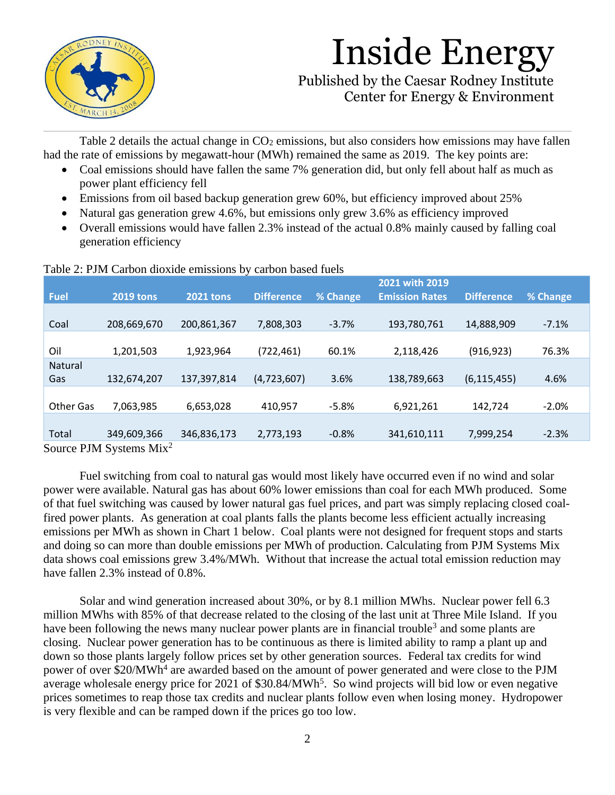

Published by the Caesar Rodney Institute Center for Energy & Environment

Table 2 details the actual change in  $CO<sub>2</sub>$  emissions, but also considers how emissions may have fallen had the rate of emissions by megawatt-hour (MWh) remained the same as 2019. The key points are:

- Coal emissions should have fallen the same 7% generation did, but only fell about half as much as power plant efficiency fell
- Emissions from oil based backup generation grew 60%, but efficiency improved about 25%
- Natural gas generation grew 4.6%, but emissions only grew 3.6% as efficiency improved
- Overall emissions would have fallen 2.3% instead of the actual 0.8% mainly caused by falling coal generation efficiency

|                            |                  |                  |                   |          | 2021 with 2019        |                   |          |  |  |
|----------------------------|------------------|------------------|-------------------|----------|-----------------------|-------------------|----------|--|--|
| <b>Fuel</b>                | <b>2019 tons</b> | <b>2021 tons</b> | <b>Difference</b> | % Change | <b>Emission Rates</b> | <b>Difference</b> | % Change |  |  |
|                            |                  |                  |                   |          |                       |                   |          |  |  |
| Coal                       | 208,669,670      | 200,861,367      | 7,808,303         | $-3.7%$  | 193,780,761           | 14,888,909        | $-7.1%$  |  |  |
|                            |                  |                  |                   |          |                       |                   |          |  |  |
| Oil                        | 1,201,503        | 1,923,964        | (722,461)         | 60.1%    | 2,118,426             | (916, 923)        | 76.3%    |  |  |
| Natural                    |                  |                  |                   |          |                       |                   |          |  |  |
| Gas                        | 132,674,207      | 137,397,814      | (4,723,607)       | 3.6%     | 138,789,663           | (6, 115, 455)     | 4.6%     |  |  |
|                            |                  |                  |                   |          |                       |                   |          |  |  |
| Other Gas                  | 7,063,985        | 6,653,028        | 410,957           | $-5.8%$  | 6,921,261             | 142,724           | $-2.0%$  |  |  |
|                            |                  |                  |                   |          |                       |                   |          |  |  |
| Total                      | 349,609,366      | 346,836,173      | 2,773,193         | $-0.8%$  | 341,610,111           | 7,999,254         | $-2.3%$  |  |  |
| $P^{\text{max}}$<br>$\sim$ |                  |                  |                   |          |                       |                   |          |  |  |

#### Table  $2:$  PIM Carbon dioxide emissions by carbon based fuels

Source PJM Systems Mix<sup>2</sup>

Fuel switching from coal to natural gas would most likely have occurred even if no wind and solar power were available. Natural gas has about 60% lower emissions than coal for each MWh produced. Some of that fuel switching was caused by lower natural gas fuel prices, and part was simply replacing closed coalfired power plants. As generation at coal plants falls the plants become less efficient actually increasing emissions per MWh as shown in Chart 1 below. Coal plants were not designed for frequent stops and starts and doing so can more than double emissions per MWh of production. Calculating from PJM Systems Mix data shows coal emissions grew 3.4%/MWh. Without that increase the actual total emission reduction may have fallen 2.3% instead of 0.8%.

Solar and wind generation increased about 30%, or by 8.1 million MWhs. Nuclear power fell 6.3 million MWhs with 85% of that decrease related to the closing of the last unit at Three Mile Island. If you have been following the news many nuclear power plants are in financial trouble<sup>3</sup> and some plants are closing. Nuclear power generation has to be continuous as there is limited ability to ramp a plant up and down so those plants largely follow prices set by other generation sources. Federal tax credits for wind power of over \$20/MWh<sup>4</sup> are awarded based on the amount of power generated and were close to the PJM average wholesale energy price for 2021 of \$30.84/MWh<sup>5</sup>. So wind projects will bid low or even negative prices sometimes to reap those tax credits and nuclear plants follow even when losing money. Hydropower is very flexible and can be ramped down if the prices go too low.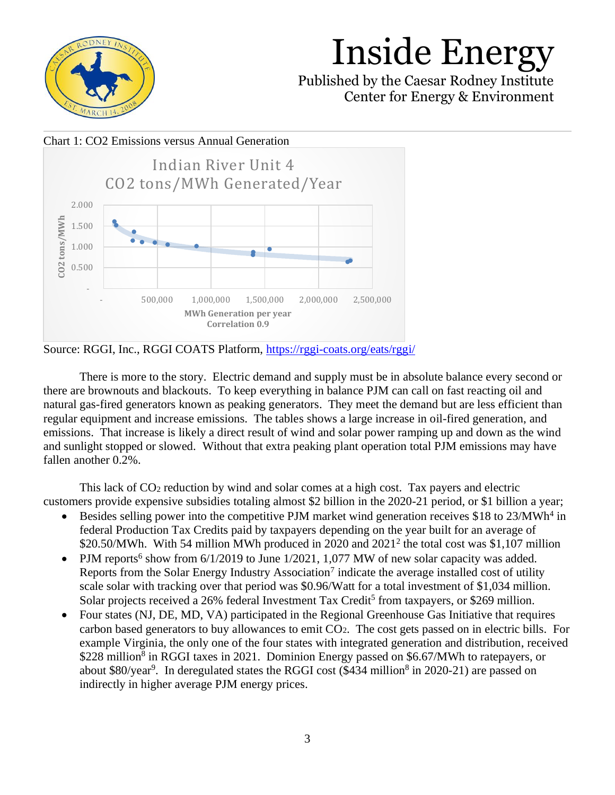

Published by the Caesar Rodney Institute Center for Energy & Environment

#### Chart 1: CO2 Emissions versus Annual Generation



Source: RGGI, Inc., RGGI COATS Platform,<https://rggi-coats.org/eats/rggi/>

There is more to the story. Electric demand and supply must be in absolute balance every second or there are brownouts and blackouts. To keep everything in balance PJM can call on fast reacting oil and natural gas-fired generators known as peaking generators. They meet the demand but are less efficient than regular equipment and increase emissions. The tables shows a large increase in oil-fired generation, and emissions. That increase is likely a direct result of wind and solar power ramping up and down as the wind and sunlight stopped or slowed. Without that extra peaking plant operation total PJM emissions may have fallen another 0.2%.

This lack of CO<sub>2</sub> reduction by wind and solar comes at a high cost. Tax payers and electric customers provide expensive subsidies totaling almost \$2 billion in the 2020-21 period, or \$1 billion a year;

- Besides selling power into the competitive PJM market wind generation receives \$18 to 23/MWh<sup>4</sup> in federal Production Tax Credits paid by taxpayers depending on the year built for an average of \$20.50/MWh. With 54 million MWh produced in 2020 and  $2021<sup>2</sup>$  the total cost was \$1,107 million
- PJM reports<sup>6</sup> show from  $6/1/2019$  to June  $1/2021$ ,  $1,077$  MW of new solar capacity was added. Reports from the Solar Energy Industry Association<sup>7</sup> indicate the average installed cost of utility scale solar with tracking over that period was \$0.96/Watt for a total investment of \$1,034 million. Solar projects received a 26% federal Investment Tax Credit<sup>5</sup> from taxpayers, or \$269 million.
- Four states (NJ, DE, MD, VA) participated in the Regional Greenhouse Gas Initiative that requires carbon based generators to buy allowances to emit  $CO<sub>2</sub>$ . The cost gets passed on in electric bills. For example Virginia, the only one of the four states with integrated generation and distribution, received \$228 million<sup>8</sup> in RGGI taxes in 2021. Dominion Energy passed on \$6.67/MWh to ratepayers, or about \$80/year<sup>9</sup>. In deregulated states the RGGI cost (\$434 million<sup>8</sup> in 2020-21) are passed on indirectly in higher average PJM energy prices.